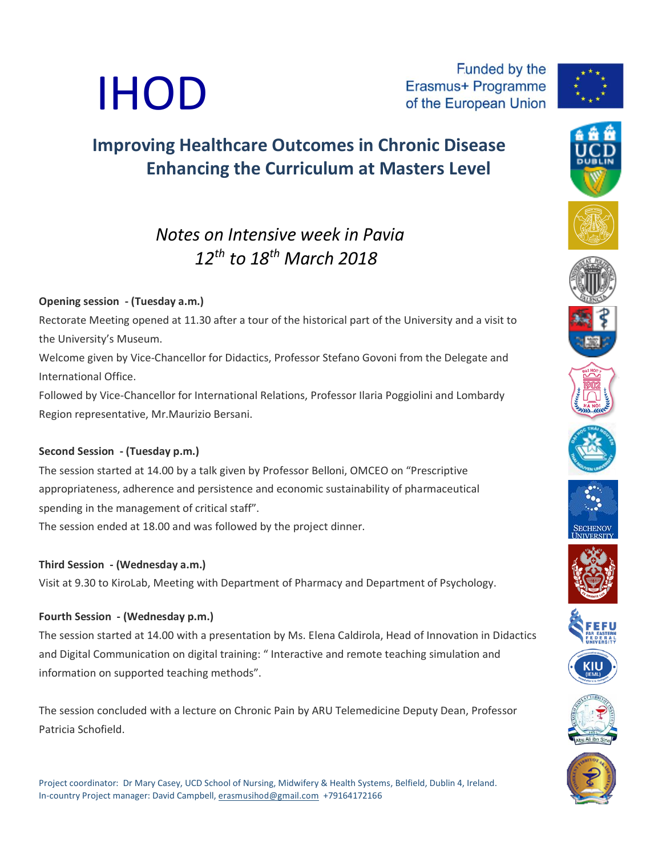

Funded by the Erasmus+ Programme of the European Union



# **Improving Healthcare Outcomes in Chronic Disease Enhancing the Curriculum at Masters Level**

# *Notes on Intensive week in Pavia 12 th to 18 th March 2018*

## **Opening session - (Tuesday a.m.)**

Rectorate Meeting opened at 11.30 after a tour of the historical part of the University and a visit to the University's Museum.

Welcome given by Vice-Chancellor for Didactics, Professor Stefano Govoni from the Delegate and International Office.

Followed by Vice-Chancellor for International Relations, Professor Ilaria Poggiolini and Lombardy Region representative, Mr.Maurizio Bersani.

## **Second Session - (Tuesday p.m.)**

The session started at 14.00 by a talk given by Professor Belloni, OMCEO on "Prescriptive appropriateness, adherence and persistence and economic sustainability of pharmaceutical spending in the management of critical staff".

The session ended at 18.00 and was followed by the project dinner.

## **Third Session - (Wednesday a.m.)**

Visit at 9.30 to KiroLab, Meeting with Department of Pharmacy and Department of Psychology.

## **Fourth Session - (Wednesday p.m.)**

The session started at 14.00 with a presentation by Ms. Elena Caldirola, Head of Innovation in Didactics and Digital Communication on digital training: " Interactive and remote teaching simulation and information on supported teaching methods".

The session concluded with a lecture on Chronic Pain by ARU Telemedicine Deputy Dean, Professor Patricia Schofield.